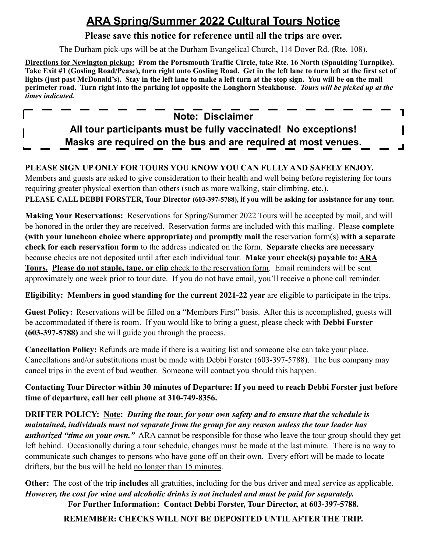# **ARA Spring/Summer 2022 Cultural Tours Notice**

#### **Please save this notice for reference until all the trips are over.**

The Durham pick-ups will be at the Durham Evangelical Church, 114 Dover Rd. (Rte. 108).

**Directions for Newington pickup: From the Portsmouth Traffic Circle, take Rte. 16 North (Spaulding Turnpike). Take Exit #1 (Gosling Road/Pease), turn right onto Gosling Road. Get in the left lane to turn left at the first set of lights (just past McDonald's). Stay in the left lane to make a left turn at the stop sign. You will be on the mall perimeter road. Turn right into the parking lot opposite the Longhorn Steakhouse**. *Tours will be picked up at the times indicated.* 

### **Note: Disclaimer**

٦

## **All tour participants must be fully vaccinated! No exceptions! Masks are required on the bus and are required at most venues.**

### **PLEASE SIGN UP ONLY FOR TOURS YOU KNOW YOU CAN FULLY AND SAFELY ENJOY.**

Members and guests are asked to give consideration to their health and well being before registering for tours requiring greater physical exertion than others (such as more walking, stair climbing, etc.). **PLEASE CALL DEBBI FORSTER, Tour Director (603-397-5788), if you will be asking for assistance for any tour.** 

**Making Your Reservations:** Reservations for Spring/Summer 2022 Tours will be accepted by mail, and will be honored in the order they are received. Reservation forms are included with this mailing. Please **complete (with your luncheon choice where appropriate)** and **promptly mail** the reservation form(s) **with a separate check for each reservation form** to the address indicated on the form. **Separate checks are necessary** because checks are not deposited until after each individual tour. **Make your check(s) payable to: ARA Tours. Please do not staple, tape, or clip** check to the reservation form. Email reminders will be sent approximately one week prior to tour date. If you do not have email, you'll receive a phone call reminder.

**Eligibility: Members in good standing for the current 2021-22 year** are eligible to participate in the trips.

**Guest Policy:** Reservations will be filled on a "Members First" basis. After this is accomplished, guests will be accommodated if there is room. If you would like to bring a guest, please check with **Debbi Forster (603-397-5788)** and she will guide you through the process.

**Cancellation Policy:** Refunds are made if there is a waiting list and someone else can take your place. Cancellations and/or substitutions must be made with Debbi Forster (603-397-5788). The bus company may cancel trips in the event of bad weather. Someone will contact you should this happen.

**Contacting Tour Director within 30 minutes of Departure: If you need to reach Debbi Forster just before time of departure, call her cell phone at 310-749-8356.**

**DRIFTER POLICY: Note:** *During the tour, for your own safety and to ensure that the schedule is maintained, individuals must not separate from the group for any reason unless the tour leader has authorized "time on your own."* ARA cannot be responsible for those who leave the tour group should they get left behind. Occasionally during a tour schedule, changes must be made at the last minute. There is no way to communicate such changes to persons who have gone off on their own. Every effort will be made to locate drifters, but the bus will be held no longer than 15 minutes.

**Other:** The cost of the trip **includes** all gratuities, including for the bus driver and meal service as applicable. *However, the cost for wine and alcoholic drinks is not included and must be paid for separately.*  **For Further Information: Contact Debbi Forster, Tour Director, at 603-397-5788.** 

**REMEMBER: CHECKS WILL NOT BE DEPOSITED UNTIL AFTER THE TRIP.**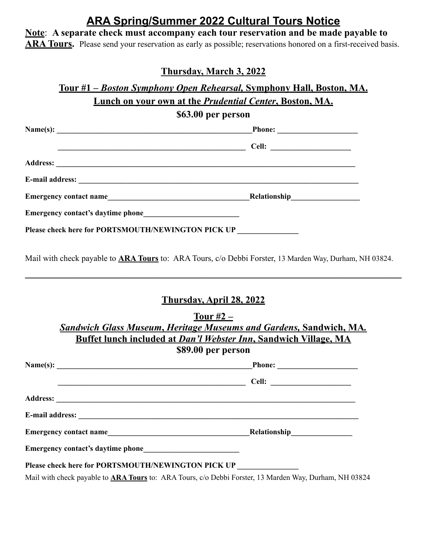## **ARA Spring/Summer 2022 Cultural Tours Notice**

**Note**: **A separate check must accompany each tour reservation and be made payable to ARA Tours.** Please send your reservation as early as possible; reservations honored on a first-received basis.

#### **Thursday, March 3, 2022**

### **Tour #1 –** *Boston Symphony Open Rehearsal,* **Symphony Hall, Boston, MA. Lunch on your own at the** *Prudential Center***, Boston, MA. \$63.00 per person**

|  | Please check here for PORTSMOUTH/NEWINGTON PICK UP                                                                    |  |  |
|--|-----------------------------------------------------------------------------------------------------------------------|--|--|
|  |                                                                                                                       |  |  |
|  | <b>Thursday, April 28, 2022</b>                                                                                       |  |  |
|  | Tour $#2 -$                                                                                                           |  |  |
|  | <b>Sandwich Glass Museum, Heritage Museums and Gardens, Sandwich, MA.</b>                                             |  |  |
|  | Buffet lunch included at Dan'l Webster Inn, Sandwich Village, MA                                                      |  |  |
|  | \$89.00 per person                                                                                                    |  |  |
|  |                                                                                                                       |  |  |
|  | <u> 1986 - Johann Barn, margaret eta bainar eta bainar eta baina eta baina eta baina eta baina eta baina eta bain</u> |  |  |

**Address: \_\_\_\_\_\_\_\_\_\_\_\_\_\_\_\_\_\_\_\_\_\_\_\_\_\_\_\_\_\_\_\_\_\_\_\_\_\_\_\_\_\_\_\_\_\_\_\_\_\_\_\_\_\_\_\_\_\_\_\_\_\_\_\_\_\_\_\_\_\_\_\_\_\_\_\_\_\_ E-mail address: \_\_\_\_\_\_\_\_\_\_\_\_\_\_\_\_\_\_\_\_\_\_\_\_\_\_\_\_\_\_\_\_\_\_\_\_\_\_\_\_\_\_\_\_\_\_\_\_\_\_\_\_\_\_\_\_\_\_\_\_\_\_\_\_\_\_\_\_\_\_\_\_\_ Emergency contact name\_\_\_\_\_\_\_\_\_\_\_\_\_\_\_\_\_\_\_\_\_\_\_\_\_\_\_\_\_\_\_\_\_\_\_\_\_Relationship\_\_\_\_\_\_\_\_\_\_\_\_\_\_\_\_**  Emergency contact's daytime phone Please check here for PORTSMOUTH/NEWINGTON PICK UP

Mail with check payable to **ARA Tours** to: ARA Tours, c/o Debbi Forster, 13 Marden Way, Durham, NH 03824